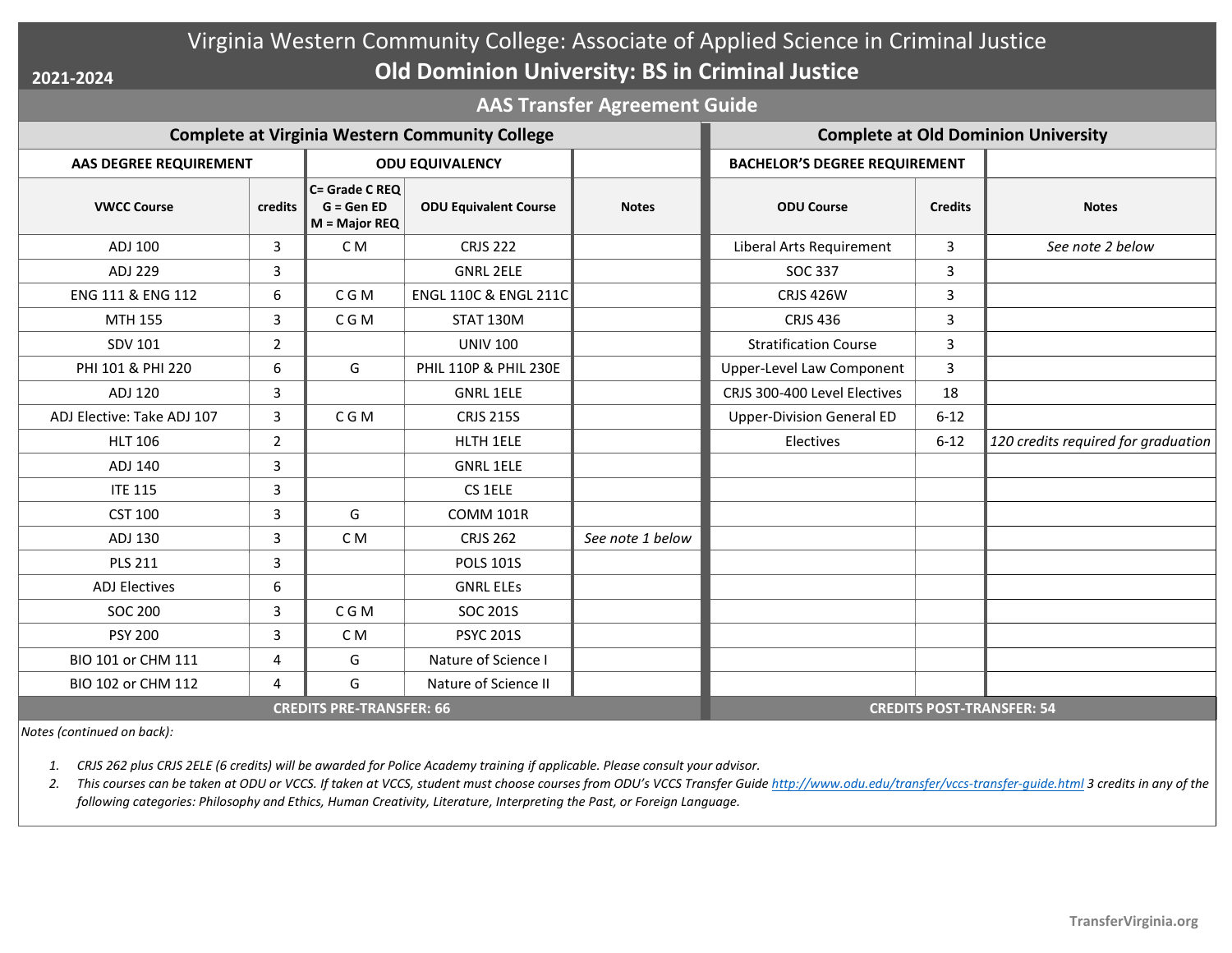## Virginia Western Community College: Associate of Applied Science in Criminal Justice **Old Dominion University: BS in Criminal Justice**

**AAS Transfer Agreement Guide**

| <b>Complete at Virginia Western Community College</b> |                |                                                |                                  |                  | <b>Complete at Old Dominion University</b> |                |                                     |
|-------------------------------------------------------|----------------|------------------------------------------------|----------------------------------|------------------|--------------------------------------------|----------------|-------------------------------------|
| AAS DEGREE REQUIREMENT                                |                | <b>ODU EQUIVALENCY</b>                         |                                  |                  | <b>BACHELOR'S DEGREE REQUIREMENT</b>       |                |                                     |
| <b>VWCC Course</b>                                    | credits        | C= Grade C REQ<br>$G = GenED$<br>M = Major REQ | <b>ODU Equivalent Course</b>     | <b>Notes</b>     | <b>ODU Course</b>                          | <b>Credits</b> | <b>Notes</b>                        |
| ADJ 100                                               | 3              | C M                                            | <b>CRJS 222</b>                  |                  | Liberal Arts Requirement                   | 3              | See note 2 below                    |
| ADJ 229                                               | 3              |                                                | <b>GNRL 2ELE</b>                 |                  | SOC 337                                    | 3              |                                     |
| ENG 111 & ENG 112                                     | 6              | C G M                                          | <b>ENGL 110C &amp; ENGL 211C</b> |                  | <b>CRJS 426W</b>                           | 3              |                                     |
| MTH 155                                               | 3              | C G M                                          | STAT 130M                        |                  | <b>CRJS 436</b>                            | $\overline{3}$ |                                     |
| <b>SDV 101</b>                                        | $\overline{2}$ |                                                | <b>UNIV 100</b>                  |                  | <b>Stratification Course</b>               | 3              |                                     |
| PHI 101 & PHI 220                                     | 6              | G                                              | PHIL 110P & PHIL 230E            |                  | Upper-Level Law Component                  | 3              |                                     |
| ADJ 120                                               | 3              |                                                | <b>GNRL 1ELE</b>                 |                  | CRJS 300-400 Level Electives               | 18             |                                     |
| ADJ Elective: Take ADJ 107                            | 3              | C G M                                          | <b>CRJS 215S</b>                 |                  | <b>Upper-Division General ED</b>           | $6 - 12$       |                                     |
| <b>HLT 106</b>                                        | $\overline{2}$ |                                                | HLTH 1ELE                        |                  | Electives                                  | $6 - 12$       | 120 credits required for graduation |
| ADJ 140                                               | 3              |                                                | <b>GNRL 1ELE</b>                 |                  |                                            |                |                                     |
| <b>ITE 115</b>                                        | 3              |                                                | CS 1ELE                          |                  |                                            |                |                                     |
| <b>CST 100</b>                                        | 3              | G                                              | COMM 101R                        |                  |                                            |                |                                     |
| ADJ 130                                               | 3              | C M                                            | <b>CRJS 262</b>                  | See note 1 below |                                            |                |                                     |
| <b>PLS 211</b>                                        | 3              |                                                | <b>POLS 101S</b>                 |                  |                                            |                |                                     |
| <b>ADJ Electives</b>                                  | 6              |                                                | <b>GNRL ELES</b>                 |                  |                                            |                |                                     |
| <b>SOC 200</b>                                        | 3              | C G M                                          | SOC 201S                         |                  |                                            |                |                                     |
| <b>PSY 200</b>                                        | 3              | C M                                            | <b>PSYC 201S</b>                 |                  |                                            |                |                                     |
| BIO 101 or CHM 111                                    | 4              | G                                              | Nature of Science I              |                  |                                            |                |                                     |
| BIO 102 or CHM 112                                    | 4              | G                                              | Nature of Science II             |                  |                                            |                |                                     |
| <b>CREDITS PRE-TRANSFER: 66</b>                       |                |                                                |                                  |                  | <b>CREDITS POST-TRANSFER: 54</b>           |                |                                     |

*Notes (continued on back):*

**2021-2024**

*1. CRJS 262 plus CRJS 2ELE (6 credits) will be awarded for Police Academy training if applicable. Please consult your advisor.*

2. This courses can be taken at ODU or VCCS. If taken at VCCS, student must choose courses from ODU's VCCS Transfer Guid[e http://www.odu.edu/transfer/vccs-transfer-guide.html](http://www.odu.edu/transfer/vccs-transfer-guide.html) 3 credits in any of the *following categories: Philosophy and Ethics, Human Creativity, Literature, Interpreting the Past, or Foreign Language.*